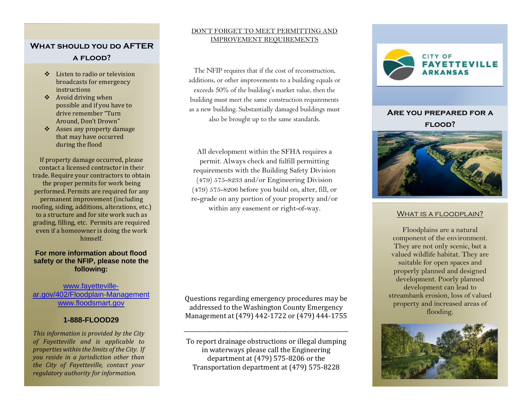# **What should you do AFTER a flood?**

- ❖ Listen to radio or television broadcasts for emergency instructions
- ❖ Avoid driving when possible and if you have to drive remember "Turn Around, Don't Drown"
- ❖ Asses any property damage that may have occurred during the flood

If property damage occurred, please contact a licensed contractor in their trade. Require your contractors to obtain the proper permits for work being performed. Permits are required for any permanent improvement (including roofing, siding, additions, alterations, etc.) to a structure and for site work such as grading, filling, etc. Permits are required even if a homeowner is doing the work himself.

### **For more information about flood safety or the NFIP, please note the following:**

### [www.fayetteville](http://www.fayetteville-ar.gov/402/Floodplain-Management)[ar.gov/402/Floodplain-Management](http://www.fayetteville-ar.gov/402/Floodplain-Management) [www.floodsmart.gov](http://www.floodsmart.gov/)

## **1-888-FLOOD29**

*This information is provided by the City of Fayetteville and is applicable to properties within the limits of the City. If you reside in a jurisdiction other than the City of Fayetteville, contact your regulatory authority for information.*

### DON'T FORGET TO MEET PERMITTING AND IMPROVEMENT REQUIREMENTS

The NFIP requires that if the cost of reconstruction, additions, or other improvements to a building equals or exceeds 50% of the building's market value, then the building must meet the same construction requirements as a new building. Substantially damaged buildings must also be brought up to the same standards.

All development within the SFHA requires a permit. Always check and fulfill permitting requirements with the Building Safety Division (479) 575-8233 and/or Engineering Division (479) 575-8206 before you build on, alter, fill, or re-grade on any portion of your property and/or within any easement or right-of-way.

Questions regarding emergency procedures may be addressed to the Washington County Emergency Management at (479) 442-1722 or (479) 444-1755

\_\_\_\_\_\_\_\_\_\_\_\_\_\_\_\_\_\_\_\_\_\_\_\_\_\_\_\_\_\_\_\_\_\_\_\_\_\_\_\_\_\_\_\_\_\_\_\_\_\_\_\_\_\_\_\_\_\_\_\_

To report drainage obstructions or illegal dumping in waterways please call the Engineering department at (479) 575-8206 or the Transportation department at (479) 575-8228



# **Are you prepared for a flood?**



### WHAT IS A FLOODPLAIN?

Floodplains are a natural component of the environment. They are not only scenic, but a valued wildlife habitat. They are suitable for open spaces and properly planned and designed development. Poorly planned development can lead to streambank erosion, loss of valued property and increased areas of flooding.